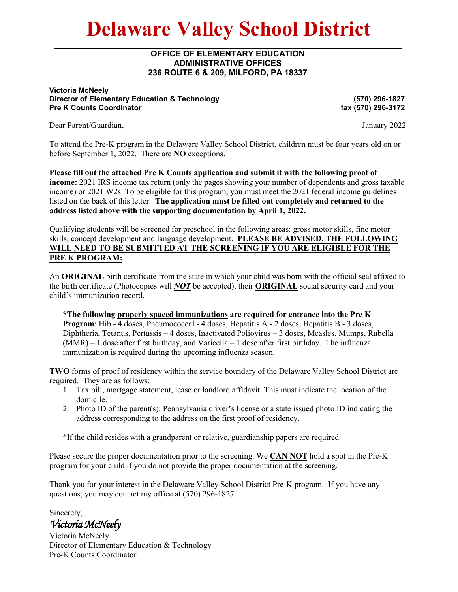# **Delaware Valley School District**

### **OFFICE OF ELEMENTARY EDUCATION ADMINISTRATIVE OFFICES 236 ROUTE 6 & 209, MILFORD, PA 18337**

#### **Victoria McNeely Director of Elementary Education & Technology Pre K Counts Coordinator**

**(570) 296-1827 fax (570) 296-3172**

Dear Parent/Guardian, January 2022

To attend the Pre-K program in the Delaware Valley School District, children must be four years old on or before September 1, 2022. There are **NO** exceptions.

**Please fill out the attached Pre K Counts application and submit it with the following proof of income:** 2021 IRS income tax return (only the pages showing your number of dependents and gross taxable income) or 2021 W2s. To be eligible for this program, you must meet the 2021 federal income guidelines listed on the back of this letter. **The application must be filled out completely and returned to the address listed above with the supporting documentation by April 1, 2022.** 

Qualifying students will be screened for preschool in the following areas: gross motor skills, fine motor skills, concept development and language development. **PLEASE BE ADVISED, THE FOLLOWING WILL NEED TO BE SUBMITTED AT THE SCREENING IF YOU ARE ELIGIBLE FOR THE PRE K PROGRAM:**

An **ORIGINAL** birth certificate from the state in which your child was born with the official seal affixed to the birth certificate (Photocopies will *NOT* be accepted), their **ORIGINAL** social security card and your child's immunization record.

**\*The following properly spaced immunizations are required for entrance into the Pre K Program**: Hib - 4 doses, Pneumococcal - 4 doses, Hepatitis A - 2 doses, Hepatitis B - 3 doses, Diphtheria, Tetanus, Pertussis – 4 doses, Inactivated Poliovirus – 3 doses, Measles, Mumps, Rubella (MMR) – 1 dose after first birthday, and Varicella – 1 dose after first birthday. The influenza immunization is required during the upcoming influenza season.

**TWO** forms of proof of residency within the service boundary of the Delaware Valley School District are required. They are as follows:

- 1. Tax bill, mortgage statement, lease or landlord affidavit. This must indicate the location of the domicile.
- 2. Photo ID of the parent(s): Pennsylvania driver's license or a state issued photo ID indicating the address corresponding to the address on the first proof of residency.

\*If the child resides with a grandparent or relative, guardianship papers are required.

Please secure the proper documentation prior to the screening. We **CAN NOT** hold a spot in the Pre-K program for your child if you do not provide the proper documentation at the screening.

Thank you for your interest in the Delaware Valley School District Pre-K program. If you have any questions, you may contact my office at (570) 296-1827.

Sincerely, *Victoria McNeely* 

Victoria McNeely Director of Elementary Education & Technology Pre-K Counts Coordinator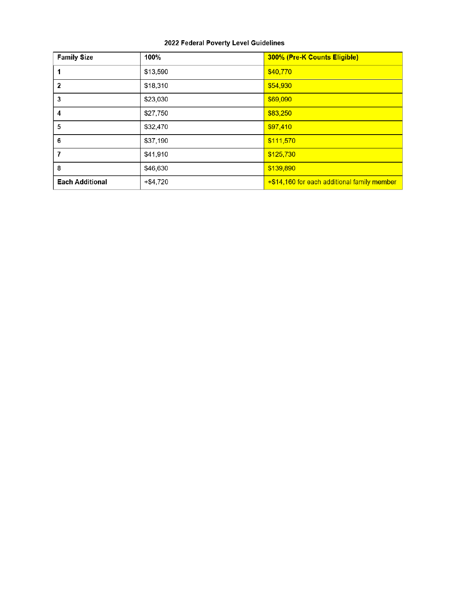### 2022 Federal Poverty Level Guidelines

| <b>Family Size</b>     | 100%     | 300% (Pre-K Counts Eligible)                |  |  |
|------------------------|----------|---------------------------------------------|--|--|
|                        | \$13,590 | \$40,770                                    |  |  |
| $\overline{2}$         | \$18,310 | \$54,930                                    |  |  |
| 3                      | \$23,030 | \$69,090                                    |  |  |
| 4                      | \$27,750 | \$83,250                                    |  |  |
| 5                      | \$32,470 | \$97,410                                    |  |  |
| 6                      | \$37,190 | \$111,570                                   |  |  |
| 7                      | \$41,910 | \$125,730                                   |  |  |
| 8                      | \$46,630 | \$139,890                                   |  |  |
| <b>Each Additional</b> | +\$4,720 | +\$14,160 for each additional family member |  |  |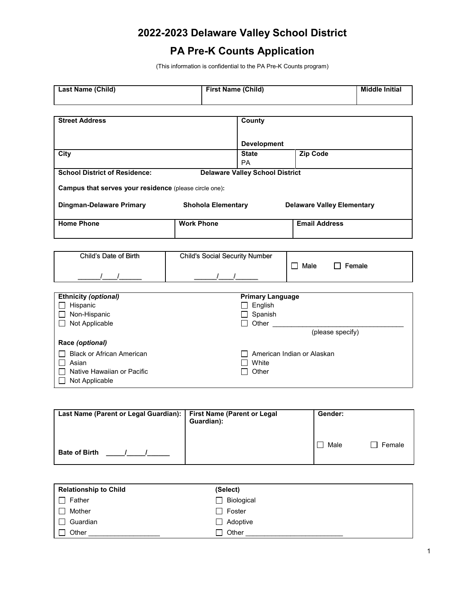# **2022-2023 Delaware Valley School District**

# **PA Pre-K Counts Application**

(This information is confidential to the PA Pre-K Counts program)

| Last Name (Child)                                      | <b>First Name (Child)</b>             |                                        | <b>Middle Initial</b>             |  |
|--------------------------------------------------------|---------------------------------------|----------------------------------------|-----------------------------------|--|
|                                                        |                                       |                                        |                                   |  |
| <b>Street Address</b>                                  |                                       | County                                 |                                   |  |
|                                                        |                                       |                                        |                                   |  |
|                                                        |                                       | <b>Development</b>                     |                                   |  |
| City                                                   |                                       | <b>State</b>                           | <b>Zip Code</b>                   |  |
|                                                        |                                       | PA                                     |                                   |  |
| <b>School District of Residence:</b>                   |                                       | <b>Delaware Valley School District</b> |                                   |  |
| Campus that serves your residence (please circle one): |                                       |                                        |                                   |  |
| <b>Dingman-Delaware Primary</b>                        | <b>Shohola Elementary</b>             |                                        | <b>Delaware Valley Elementary</b> |  |
|                                                        |                                       |                                        |                                   |  |
| <b>Home Phone</b>                                      | <b>Work Phone</b>                     |                                        | <b>Email Address</b>              |  |
|                                                        |                                       |                                        |                                   |  |
|                                                        |                                       |                                        |                                   |  |
| Child's Date of Birth                                  | <b>Child's Social Security Number</b> |                                        |                                   |  |
|                                                        |                                       |                                        | $\Box$ Male<br>$\Box$ Female      |  |
|                                                        |                                       |                                        |                                   |  |
| <b>Ethnicity (optional)</b>                            |                                       | <b>Primary Language</b>                |                                   |  |
| Hispanic                                               |                                       | $\Box$ English                         |                                   |  |
| $\Box$ Non-Hispanic                                    |                                       | $\Box$ Spanish                         |                                   |  |
| $\Box$ Not Applicable                                  |                                       | $\Box$ Other                           |                                   |  |
|                                                        |                                       |                                        | (please specify)                  |  |
| Race (optional)                                        |                                       |                                        |                                   |  |
| <b>Black or African American</b>                       |                                       |                                        | American Indian or Alaskan        |  |
| Asian                                                  |                                       | White                                  |                                   |  |
| Native Hawaiian or Pacific                             |                                       | Other                                  |                                   |  |
| Not Applicable                                         |                                       |                                        |                                   |  |

| Last Name (Parent or Legal Guardian):   First Name (Parent or Legal | Guardian): | Gender:        |
|---------------------------------------------------------------------|------------|----------------|
| <b>Bate of Birth</b>                                                |            | Male<br>Female |

| <b>Relationship to Child</b> | (Select)          |
|------------------------------|-------------------|
| Father                       | $\Box$ Biological |
| Mother                       | $\Box$ Foster     |
| Guardian                     | $\Box$ Adoptive   |
| Other                        | Other<br>П        |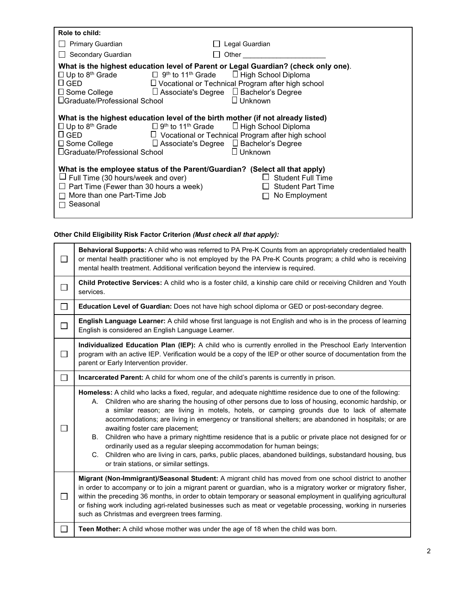| Role to child:                                                                                                                                                                                                                                                                                                                              |                                                                            |
|---------------------------------------------------------------------------------------------------------------------------------------------------------------------------------------------------------------------------------------------------------------------------------------------------------------------------------------------|----------------------------------------------------------------------------|
| $\Box$ Primary Guardian                                                                                                                                                                                                                                                                                                                     | Legal Guardian                                                             |
| □ Secondary Guardian                                                                                                                                                                                                                                                                                                                        | Other                                                                      |
| What is the highest education level of Parent or Legal Guardian? (check only one).<br>$\Box$ Up to 8 <sup>th</sup> Grade $\Box$ 9 <sup>th</sup> to 11 <sup>th</sup> Grade $\Box$ High School Diploma<br>$\sqcup$ GED<br>$\Box$ Associate's Degree $\Box$ Bachelor's Degree<br>$\square$ Some College<br>$\Box$ Graduate/Professional School | $\Box$ Vocational or Technical Program after high school<br>$\Box$ Unknown |
| What is the highest education level of the birth mother (if not already listed)<br>$\Box$ Up to 8 <sup>th</sup> Grade $\Box$ 9 <sup>th</sup> to 11 <sup>th</sup> Grade $\Box$ High School Diploma<br>$\sqcup$ GED<br>□ Associate's Degree □ Bachelor's Degree<br>$\square$ Some College<br>$\Box$ Graduate/Professional School              | $\Box$ Vocational or Technical Program after high school<br>$\Box$ Unknown |
| What is the employee status of the Parent/Guardian? (Select all that apply)<br>$\Box$ Full Time (30 hours/week and over)<br>$\Box$ Part Time (Fewer than 30 hours a week)<br>$\Box$ More than one Part-Time Job<br>Seasonal                                                                                                                 | <b>Student Full Time</b><br><b>Student Part Time</b><br>No Employment      |

### **Other Child Eligibility Risk Factor Criterion** *(Must check all that apply):*

| $\Box$       | Behavioral Supports: A child who was referred to PA Pre-K Counts from an appropriately credentialed health<br>or mental health practitioner who is not employed by the PA Pre-K Counts program; a child who is receiving<br>mental health treatment. Additional verification beyond the interview is required.                                                                                                                                                                                                                                                                                                                                                                                                                                                                                             |  |  |  |
|--------------|------------------------------------------------------------------------------------------------------------------------------------------------------------------------------------------------------------------------------------------------------------------------------------------------------------------------------------------------------------------------------------------------------------------------------------------------------------------------------------------------------------------------------------------------------------------------------------------------------------------------------------------------------------------------------------------------------------------------------------------------------------------------------------------------------------|--|--|--|
| $\Box$       | Child Protective Services: A child who is a foster child, a kinship care child or receiving Children and Youth<br>services.                                                                                                                                                                                                                                                                                                                                                                                                                                                                                                                                                                                                                                                                                |  |  |  |
| $\Box$       | Education Level of Guardian: Does not have high school diploma or GED or post-secondary degree.                                                                                                                                                                                                                                                                                                                                                                                                                                                                                                                                                                                                                                                                                                            |  |  |  |
| $\Box$       | English Language Learner: A child whose first language is not English and who is in the process of learning<br>English is considered an English Language Learner.                                                                                                                                                                                                                                                                                                                                                                                                                                                                                                                                                                                                                                          |  |  |  |
| $\Box$       | Individualized Education Plan (IEP): A child who is currently enrolled in the Preschool Early Intervention<br>program with an active IEP. Verification would be a copy of the IEP or other source of documentation from the<br>parent or Early Intervention provider.                                                                                                                                                                                                                                                                                                                                                                                                                                                                                                                                      |  |  |  |
| $\Box$       | Incarcerated Parent: A child for whom one of the child's parents is currently in prison.                                                                                                                                                                                                                                                                                                                                                                                                                                                                                                                                                                                                                                                                                                                   |  |  |  |
| $\mathsf{L}$ | Homeless: A child who lacks a fixed, regular, and adequate nighttime residence due to one of the following:<br>A. Children who are sharing the housing of other persons due to loss of housing, economic hardship, or<br>a similar reason; are living in motels, hotels, or camping grounds due to lack of alternate<br>accommodations; are living in emergency or transitional shelters; are abandoned in hospitals; or are<br>awaiting foster care placement;<br>B. Children who have a primary nighttime residence that is a public or private place not designed for or<br>ordinarily used as a regular sleeping accommodation for human beings;<br>C. Children who are living in cars, parks, public places, abandoned buildings, substandard housing, bus<br>or train stations, or similar settings. |  |  |  |
| $\Box$       | Migrant (Non-Immigrant)/Seasonal Student: A migrant child has moved from one school district to another<br>in order to accompany or to join a migrant parent or guardian, who is a migratory worker or migratory fisher,<br>within the preceding 36 months, in order to obtain temporary or seasonal employment in qualifying agricultural<br>or fishing work including agri-related businesses such as meat or vegetable processing, working in nurseries<br>such as Christmas and evergreen trees farming.                                                                                                                                                                                                                                                                                               |  |  |  |
| $\Box$       | Teen Mother: A child whose mother was under the age of 18 when the child was born.                                                                                                                                                                                                                                                                                                                                                                                                                                                                                                                                                                                                                                                                                                                         |  |  |  |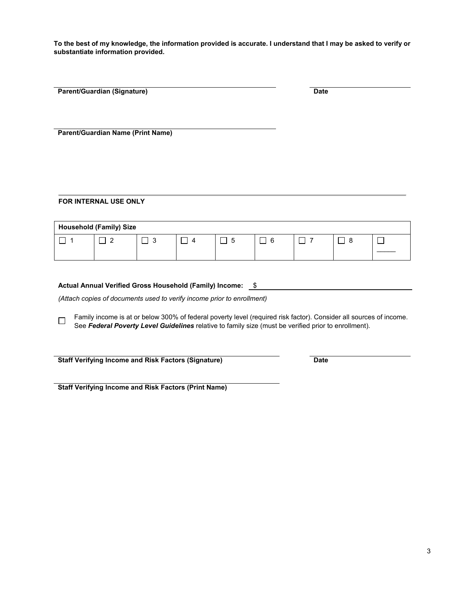**To the best of my knowledge, the information provided is accurate. I understand that I may be asked to verify or substantiate information provided.** 

| <b>Parent/Guardian (Signature)</b>       | <b>Date</b> |  |
|------------------------------------------|-------------|--|
|                                          |             |  |
|                                          |             |  |
|                                          |             |  |
|                                          |             |  |
|                                          |             |  |
|                                          |             |  |
| <b>Parent/Guardian Name (Print Name)</b> |             |  |
|                                          |             |  |
|                                          |             |  |
|                                          |             |  |
|                                          |             |  |

#### **FOR INTERNAL USE ONLY**

| <b>Household (Family) Size</b> |  |                          |          |  |  |  |  |
|--------------------------------|--|--------------------------|----------|--|--|--|--|
|                                |  | $\overline{\phantom{a}}$ | $\prime$ |  |  |  |  |
|                                |  |                          |          |  |  |  |  |

| Actual Annual Verified Gross Household (Family) Income: \$ |  |
|------------------------------------------------------------|--|

*(Attach copies of documents used to verify income prior to enrollment)*

Family income is at or below 300% of federal poverty level (required risk factor). Consider all sources of income.  $\Box$ See *Federal Poverty Level Guidelines* relative to family size (must be verified prior to enrollment).

**Staff Verifying Income and Risk Factors (Signature) Date** 

**Staff Verifying Income and Risk Factors (Print Name)**